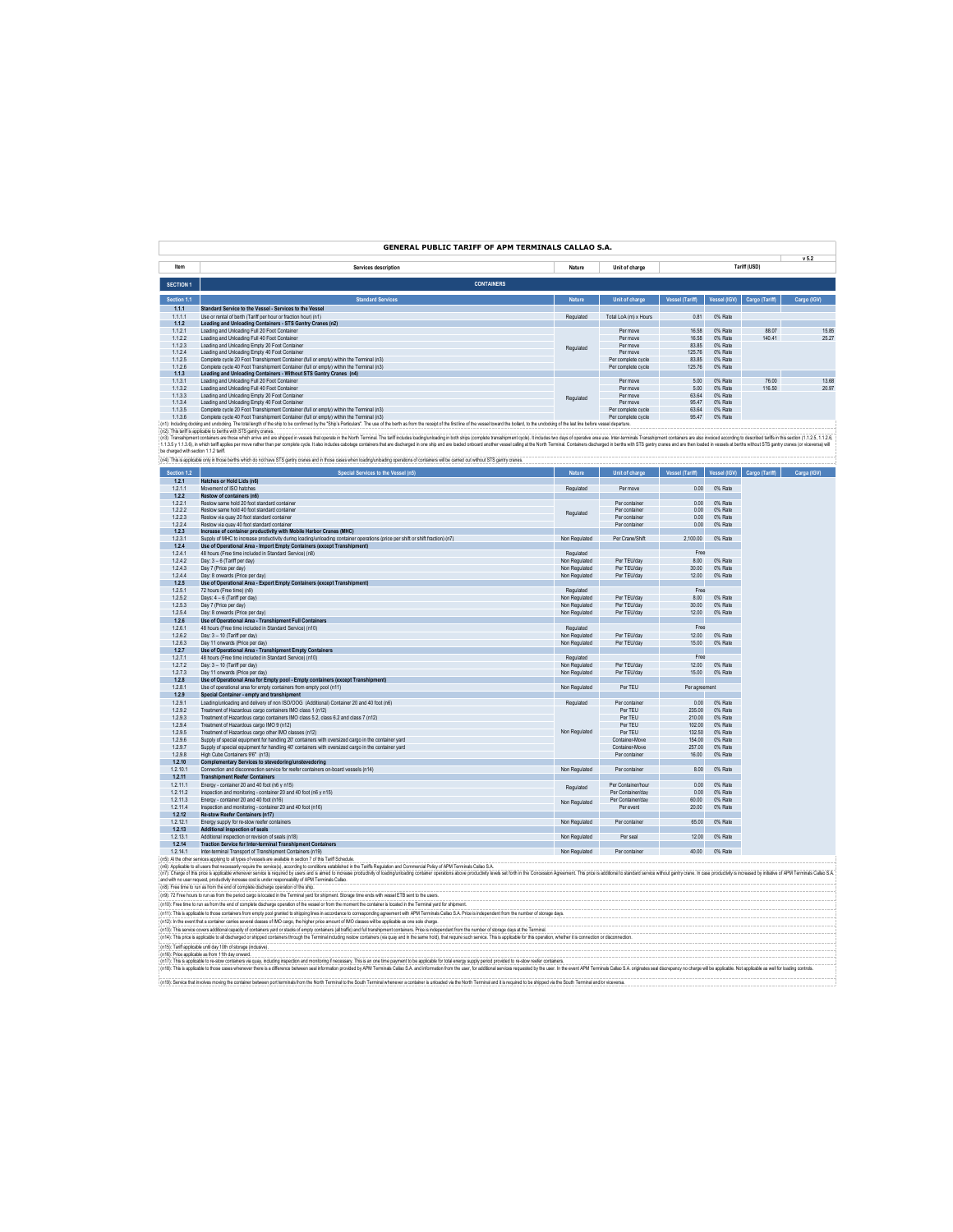# **GENERAL PUBLIC TARIFF OF APM TERMINALS CALLAO S.A.**

**v 5.2**

|                  |                                                                                                                                                                                                                               |               |                       |                        |              |                | .           |
|------------------|-------------------------------------------------------------------------------------------------------------------------------------------------------------------------------------------------------------------------------|---------------|-----------------------|------------------------|--------------|----------------|-------------|
| Item             | Services description                                                                                                                                                                                                          | Nature        | Unit of charge        |                        |              | Tariff (USD)   |             |
|                  |                                                                                                                                                                                                                               |               |                       |                        |              |                |             |
| <b>SECTION 1</b> | <b>CONTAINERS</b>                                                                                                                                                                                                             |               |                       |                        |              |                |             |
| Section 1.1      | <b>Standard Services</b>                                                                                                                                                                                                      | <b>Nature</b> | Unit of charge        | <b>Vessel (Tariff)</b> | Vessel (IGV) | Cargo (Tariff) | Cargo (IGV) |
| 1.1.1            | Standard Service to the Vessel - Services to the Vessel                                                                                                                                                                       |               |                       |                        |              |                |             |
| 1.1.1.1          | Use or rental of berth (Tariff per hour or fraction hour) (n1)                                                                                                                                                                | Regulated     | Total LoA (m) x Hours | 0.81                   | 0% Rate      |                |             |
| 1.1.2            | Loading and Unloading Containers - STS Gantry Cranes (n2)                                                                                                                                                                     |               |                       |                        |              |                |             |
| 1.1.2.1          | Loading and Unloading Full 20 Eggt Container                                                                                                                                                                                  |               | Per move              | 16.58                  | 0% Rate      | 88.07          | 15.85       |
| 1.1.2.2          | Loading and Unloading Full 40 Foot Container                                                                                                                                                                                  |               | Per move              | 16.58                  | 0% Rate      | 140.41         | 25.27       |
| 1.1.2.3          | Loading and Unloading Empty 20 Foot Container                                                                                                                                                                                 | Regulated     | Per move              | 83.85                  | 0% Rate      |                |             |
| 1.1.2.4          | Loading and Unloading Empty 40 Foot Container                                                                                                                                                                                 |               | Per move              | 125.76                 | 0% Rate      |                |             |
| 1.1.2.5          | Complete cycle 20 Foot Transhipment Container (full or empty) within the Terminal (n3)                                                                                                                                        |               | Per complete cycle    | 83.85                  | 0% Rate      |                |             |
| 1.1.2.6          | Complete cycle 40 Foot Transhipment Container (full or empty) within the Terminal (n3)                                                                                                                                        |               | Per complete cycle    | 125.76                 | 0% Rate      |                |             |
| 1.1.3            | Loading and Unloading Containers - Without STS Gantry Cranes (n4)                                                                                                                                                             |               |                       |                        |              |                |             |
| 1.1.3.1          | Loading and Unloading Full 20 Foot Container                                                                                                                                                                                  |               | Per move              | 5.00                   | 0% Rate      | 76.00          | 13.68       |
| 1.1.3.2          | Loading and Unloading Full 40 Foot Container                                                                                                                                                                                  |               | Per move              | 5.00                   | 0% Rate      | 116.50         | 20.97       |
| 1.1.3.3          | Loading and Unloading Empty 20 Foot Container                                                                                                                                                                                 | Regulated     | Per move              | 63.64                  | 0% Rate      |                |             |
| 1.1.3.4          | Loading and Unloading Empty 40 Foot Container                                                                                                                                                                                 |               | Per move              | 95.47                  | 0% Rate      |                |             |
| 1.1.3.5          | Complete cycle 20 Foot Transhipment Container (full or empty) within the Terminal (n3)                                                                                                                                        |               | Per complete cycle    | 63.64                  | 0% Rate      |                |             |
| 1.1.3.6          | Complete cycle 40 Foot Transhipment Container (full or empty) within the Terminal (n3)                                                                                                                                        |               | Per complete cycle    | 95.47                  | 0% Rate      |                |             |
|                  | (n1): Including docking and undocking. The total length of the ship to be confirmed by the "Ship's Particulars". The use of the berth as from the receipt of the first line of the wasel toward the bollard, to the undocking |               |                       |                        |              |                |             |

(n2): his wife solution between the stand was the search of the search of the search of the search of the search of the search of the search of the search of the search of the search of the search in the search of the sear oe charges was economicable only in those berths which do not have STS gantry cranes and in those cases when loading/unloading operations of containers will be carried out without STS gantry cranes.

| Section 1.2 | Special Services to the Vessel (n5)                                                                                           | <b>Nature</b> | Unit of charge     | <b>Vessel (Tariff)</b> | Vessel (IGV) | Cargo (Tariff) | Carga (IGV) |
|-------------|-------------------------------------------------------------------------------------------------------------------------------|---------------|--------------------|------------------------|--------------|----------------|-------------|
| 1.2.1       | Hatches or Hold Lids (n6)                                                                                                     |               |                    |                        |              |                |             |
| 1.2.1.1     | Movement of ISO hatches                                                                                                       | Regulated     | Per move           | 0.00                   | 0% Rate      |                |             |
| 1.2.2       | Restow of containers (n6)                                                                                                     |               |                    |                        |              |                |             |
| 1.2.2.1     | Restow same hold 20 foot standard container                                                                                   |               | Per container      | 0.00                   | 0% Rate      |                |             |
| 1222        | Restow same hold 40 foot standard container                                                                                   | Regulated     | Per container      | 0.00                   | 0% Rate      |                |             |
| 1.2.2.3     | Restow via quay 20 foot standard container                                                                                    |               | Per container      | 0.00                   | 0% Rate      |                |             |
| 1.2.2.4     | Restow via quay 40 foot standard container                                                                                    |               | Per container      | 0.00                   | 0% Rate      |                |             |
| 1.2.3       | Increase of container productivity with Mobile Harbor Cranes (MHC)                                                            |               |                    |                        |              |                |             |
| 1.2.3.1     | Supply of MHC to increase productivity during loading/unloading container operations (price per shift or shift fraction) (n7) | Non Regulated | Per Crane/Shift    | 2.100.00               | 0% Rate      |                |             |
| 1.2.4       | Use of Operational Area - Import Empty Containers (except Transhipment)                                                       |               |                    |                        |              |                |             |
| 1.2.4.1     | 48 hours (Free time included in Standard Service) (n8)                                                                        | Regulated     |                    | Free                   |              |                |             |
| 1.2.4.2     | Day: 3 - 6 (Tariff per day)                                                                                                   | Non Regulated | Per TEU/day        | 8.00                   | 0% Rate      |                |             |
| 1.2.4.3     | Day 7 (Price per day)                                                                                                         | Non Regulated | Per TEU/day        | 30.00                  | 0% Rate      |                |             |
| 1.2.4.4     | Day: 8 onwards (Price per day)                                                                                                | Non Regulated | Per TEU/day        | 1200                   | 0% Rate      |                |             |
| 1.2.5       | Use of Operational Area - Export Empty Containers (except Transhipment)                                                       |               |                    |                        |              |                |             |
| 1.2.5.1     | 72 hours (Free time) (n9)                                                                                                     | Regulated     |                    | Free                   |              |                |             |
| 1.2.5.2     | Days: 4 - 6 (Tariff per day)                                                                                                  | Non Regulated | Per TEU/day        | 8.00                   | 0% Rate      |                |             |
| 1.2.5.3     | Day 7 (Price per day)                                                                                                         | Non Regulated | Per TEU/day        | 30.00                  | 0% Rate      |                |             |
| 1.2.5.4     | Day: 8 onwards (Price per day)                                                                                                | Non Regulated | Per TEU/day        | 12.00                  | 0% Rate      |                |             |
| 1.2.6       | Use of Operational Area - Transhipment Full Containers                                                                        |               |                    |                        |              |                |             |
| 1.2.6.1     | 48 hours (Free time included in Standard Service) (n10)                                                                       | Regulated     |                    | Free                   |              |                |             |
| 1.2.6.2     | Day: 3 - 10 (Tariff per day)                                                                                                  | Non Regulated | Per TEU/day        | 12.00                  | 0% Rate      |                |             |
| 1.2.6.3     | Day 11 onwards (Price per day)                                                                                                | Non Regulated | Per TEU/day        | 15.00                  | 0% Rate      |                |             |
| 1.2.7       | Use of Operational Area - Transhipment Empty Containers                                                                       |               |                    |                        |              |                |             |
| 1.2.7.1     | 48 hours (Free time included in Standard Service) (n10)                                                                       | Regulated     |                    | Free                   |              |                |             |
| 1.2.7.2     | Day: 3 - 10 (Tariff per day)                                                                                                  | Non Regulated | Per TEU/day        | 12.00                  | 0% Rate      |                |             |
| 1.2.7.3     | Day 11 onwards (Price per day)                                                                                                | Non Regulated | Per TEU/day        | 15.00                  | 0% Rate      |                |             |
| 1.2.8       | Use of Operational Area for Empty pool - Empty containers (except Transhipment)                                               |               |                    |                        |              |                |             |
| 1.2.8.1     | Use of operational area for empty containers from empty pool (n11)                                                            | Non Regulated | Per TEU            | Per agreement          |              |                |             |
| 1.2.9       | Special Container - empty and transhipment                                                                                    |               |                    |                        |              |                |             |
| 1.2.9.1     | Loading/unloading and delivery of non ISO/OOG (Additional) Container 20 and 40 foot (n6)                                      | Regulated     | Per container      | 0.00                   | 0% Rate      |                |             |
| 1.2.9.2     | Treatment of Hazardous cargo containers IMO class 1 (n12)                                                                     |               | Per TEU            | 235.00                 | 0% Rate      |                |             |
| 1.2.9.3     | Treatment of Hazardous cargo containers IMO class 5.2, class 6.2 and class 7 (n12)                                            |               | Per TEU            | 210.00                 | 0% Rate      |                |             |
| 1.2.9.4     | Treatment of Hazardous cargo IMO 9 (n12)                                                                                      |               | Per TEU            | 102.00                 | 0% Rate      |                |             |
| 1.2.9.5     | Treatment of Hazardous cargo other IMO classes (n12)                                                                          | Non Regulated | Per TEU            | 132.50                 | 0% Rate      |                |             |
| 1.2.9.6     | Supply of special equipment for handling 20' containers with oversized cargo in the container yard                            |               | Container-Move     | 154.00                 | 0% Rate      |                |             |
| 1.2.9.7     | Supply of special equipment for handling 40' containers with oversized cargo in the container vard                            |               | Container-Move     | 257.00                 | 0% Rate      |                |             |
| 1.2.9.8     | High Cube Containers 9'6" (n13)                                                                                               |               | Per container      | 16.00                  | 0% Rate      |                |             |
| 1.2.10      | Complementary Services to stevedoring/unstevedoring                                                                           |               |                    |                        |              |                |             |
| 1.2.10.1    | Connection and disconnection service for reefer containers on-board vessels (n14)                                             | Non Regulated | Per container      | 8.00                   | 0% Rate      |                |             |
| 1.2.11      | <b>Transhipment Reefer Containers</b>                                                                                         |               |                    |                        |              |                |             |
| 1.2.11.1    | Energy - container 20 and 40 foot (n6 y n15)                                                                                  |               | Per Container/hour | 0.00                   | 0% Rate      |                |             |
| 1.2.11.2    | Inspection and monitoring - container 20 and 40 foot (n6 y n15)                                                               | Regulated     | Per Container/day  | 0.00                   | 0% Rate      |                |             |
| 1.2.11.3    | Energy - container 20 and 40 foot (n16)                                                                                       |               | Per Container/day  | 60.00                  | 0% Rate      |                |             |
| 1.2.11.4    | Inspection and monitoring - container 20 and 40 foot (n16)                                                                    | Non Regulated | Per event          | 20.00                  | 0% Rate      |                |             |
| 1.2.12      | Re-stow Reefer Containers (n17)                                                                                               |               |                    |                        |              |                |             |
| 1.2.12.1    | Energy supply for re-stow reefer containers                                                                                   | Non Regulated | Per container      | 65.00                  | 0% Rate      |                |             |
| 1,2.13      | Additional inspection of seals                                                                                                |               |                    |                        |              |                |             |
| 1.2.13.1    | Additional inspection or revision of seals (n18)                                                                              | Non Regulated | Per seal           | 12.00                  | 0% Rate      |                |             |
| 1.2.14      | <b>Traction Service for Inter-terminal Transhipment Containers</b>                                                            |               |                    |                        |              |                |             |
| 1.2.14.1    | Inter-terminal Transport of Transhipment Containers (n19)                                                                     | Non Regulated | Per container      | 40.00                  | 0% Rate      |                |             |
|             | (n5): Al the other services applying to all types of vessels are available in section 7 of this Tariff Schedule.              |               |                    |                        |              |                |             |

(n) Lyokabe a alway temperassin reputer be serves)), according to antions established in the Beglation and Commercial Poly of AM Terminas Caba SA, Memmas Caba SA, Memmas Caba SA, Memmas Caba SA, Memmas Caba SA, Memmas Caba

(n9): 72 Free hours to run as from the period cargo is located in the Terminal yard for shipment. Storage time ends with vessel ETB sent to the users.<br>(n10): Free time to run as from the end of complete discharge operation

(n11): This is applicable to those containers from empty pool granted to shipping lines in accordance to corresponding agreement with APM Terminals Callao S.A. Price is independent from the number of storage days.<br>(n12): I

(n13). This service covers additional operative synd or station defends on the final particular management contains the forest and the form of state of an independent formulation of the formulation of the formulation of st

(n16): Price applicable as from 11th day onward.<br>(n17): This is applicable to re-stow containers via quay, including inspection and monitoring if necessary. This is an one time payment to be applicable for total energy sup (n19): Service that involves moving the container between port terminals from the North Terminal to the South Terminal whenever a container is unbaded via the North Terminal and it is required to be shipped via the South T (n18): This is applicable to those cases whenever there is a difference between seal information provided by APM Terminals Callao S.A. and information from the user, for additional services requested by the user. In the ev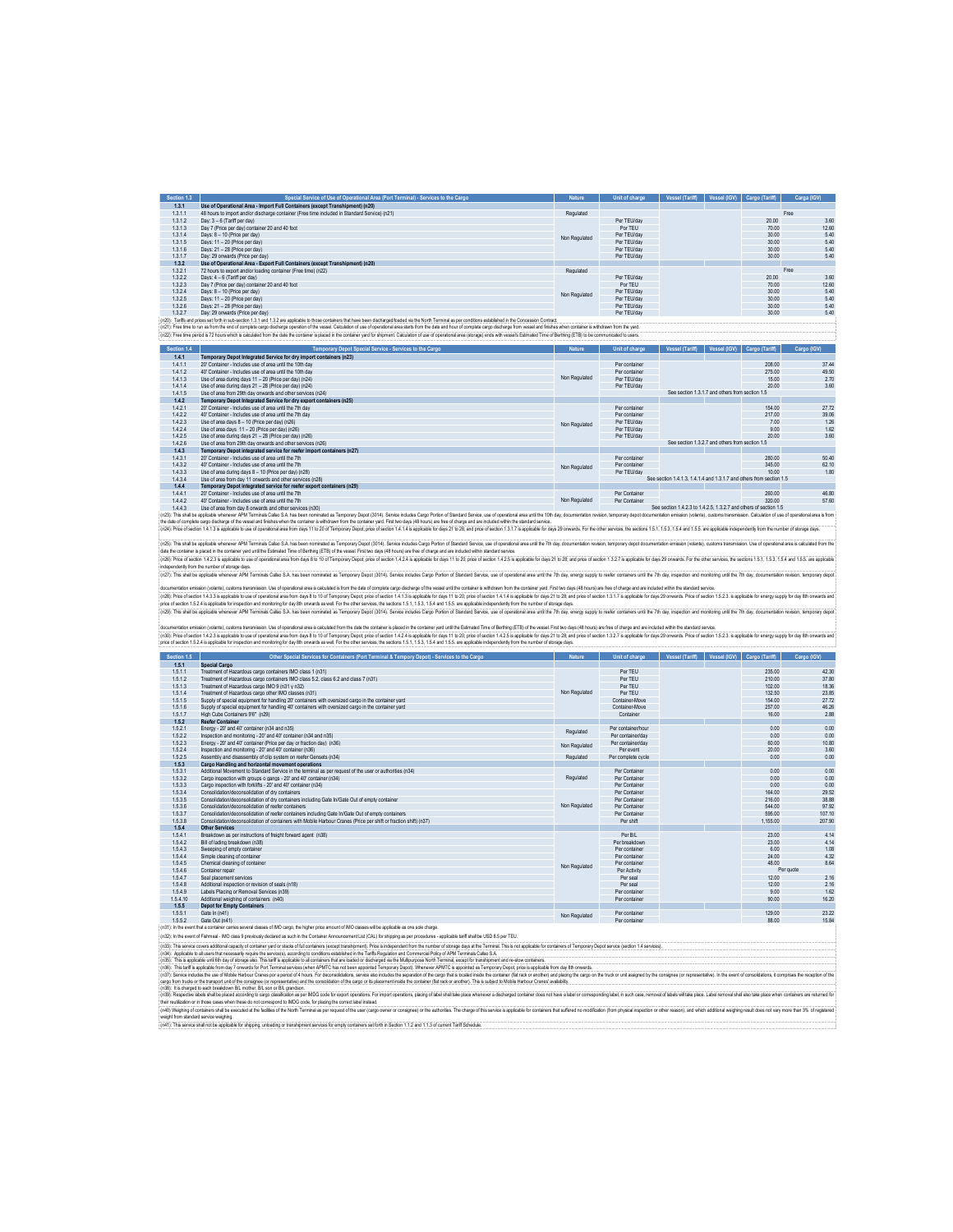| Section 1.3 | Special Service of Use of Operational Area (Port Terminal) - Services to the Cargo                                                                                                                                             | Nature        | Unit of charge | Vessel (Tariff) | Vessel (IGV) | Cargo (Tariff) | Carga (IGV) |       |
|-------------|--------------------------------------------------------------------------------------------------------------------------------------------------------------------------------------------------------------------------------|---------------|----------------|-----------------|--------------|----------------|-------------|-------|
| 1.3.1       | Use of Operational Area - Import Full Containers (except Transhipment) (n20)                                                                                                                                                   |               |                |                 |              |                |             |       |
| 1.3.1.1     | 48 hours to import and/or discharge container (Free time included in Standard Service) (n21)                                                                                                                                   | Regulated     |                |                 |              |                | Free        |       |
| 1.3.1.2     | Day: 3 - 6 (Tariff per day)                                                                                                                                                                                                    |               | Per TEU/day    |                 |              | 20.00          |             | 3.60  |
| 1.3.1.3     | Day 7 (Price per day) container 20 and 40 foot                                                                                                                                                                                 |               | Por TEU        |                 |              | 70.00          |             | 12.60 |
| 1.3.1.4     | Days: 8 - 10 (Price per day)                                                                                                                                                                                                   | Non Regulated | Per TEU/day    |                 |              | 30.00          |             | 5.40  |
| 1.3.1.5     | Days: 11 - 20 (Price per day)                                                                                                                                                                                                  |               | Per TEU/day    |                 |              | 30.00          |             | 5.40  |
| 1.3.1.6     | Days: 21 - 28 (Price per day)                                                                                                                                                                                                  |               | Per TEU/day    |                 |              | 30.00          |             | 5.40  |
| 1.3.1.7     | Day: 29 onwards (Price per day)                                                                                                                                                                                                |               | Per TEU/day    |                 |              | 30.00          |             | 5.40  |
| 1.3.2       | Use of Operational Area - Export Full Containers (except Transhipment) (n20)                                                                                                                                                   |               |                |                 |              |                |             |       |
| 1.3.2.1     | 72 hours to export and/or loading container (Free time) (n22)                                                                                                                                                                  | Regulated     |                |                 |              |                | Free        |       |
| 1.3.2.2     | Days: 4 - 6 (Tariff per day)                                                                                                                                                                                                   |               | Per TEU/day    |                 |              | 2000           |             | 3.60  |
| 1.3.2.3     | Day 7 (Price per day) container 20 and 40 foot                                                                                                                                                                                 |               | Por TEU        |                 |              | 70.00          |             | 12.60 |
| 1.3.2.4     | Days: 8 - 10 (Price per day)                                                                                                                                                                                                   | Non Regulated | Per TEU/day    |                 |              | 30.00          |             | 5.40  |
| 1.3.2.5     | Days: 11 - 20 (Price per day)                                                                                                                                                                                                  |               | Per TEU/day    |                 |              | 30.00          |             | 5.40  |
| 1.3.2.6     | Days: 21 - 28 (Price per day)                                                                                                                                                                                                  |               | Per TEU/day    |                 |              | 30.00          |             | 5.40  |
| 1327        | Day: 29 onwards (Price per day)                                                                                                                                                                                                |               | Per TEU/day    |                 |              | 30.00          |             | 5.40  |
|             | (n20): Tariffs and prices set forth in sub-section 1.3.1 and 1.3.2 are applicable to those containers that have been discharged/baded via the North Terminal as per conditions established in the Concession Contract.         |               |                |                 |              |                |             |       |
|             | (n21): Free time to run as from the end of complete cargo discharge operation of the vessel. Calculation of use of operational area starts from the date and hour of complete cargo discharge from vessel and thishes when con |               |                |                 |              |                |             |       |
|             | (n22): Free time period is 72 hours which is calculated from the date the container is placed in the container vard for shipment. Calculation of use of coerational area (storage) ends with vessel's Estimated Time of Berthi |               |                |                 |              |                |             |       |

| Section 1.4 | Temporary Depot Special Service - Services to the Cargo                                                                                                                                                                        | Nature        | Unit of charge                                  | Vessel (Tariff)                                                      | Vessel (IGV) | Cargo (Tariff) | Cargo (IGV) |  |  |
|-------------|--------------------------------------------------------------------------------------------------------------------------------------------------------------------------------------------------------------------------------|---------------|-------------------------------------------------|----------------------------------------------------------------------|--------------|----------------|-------------|--|--|
| 1.4.1       | Temporary Depot Integrated Service for dry import containers (n23)                                                                                                                                                             |               |                                                 |                                                                      |              |                |             |  |  |
| 1.4.1.1     | 20" Container - Includes use of area until the 10th day                                                                                                                                                                        |               | Per container                                   |                                                                      |              | 208.00         | 3744        |  |  |
| 1.4.1.2     | 40" Container - Includes use of area until the 10th day                                                                                                                                                                        |               | Per container                                   |                                                                      |              | 275.00         | 49.50       |  |  |
| 1.4.1.3     | Use of area during days 11 - 20 (Price per day) (n24)                                                                                                                                                                          | Non Regulated | Per TEU/day                                     |                                                                      |              | 15.00          | 2.70        |  |  |
| 1.4.1.4     | Use of area during days 21 - 28 (Price per day) (n24)                                                                                                                                                                          |               | Per TEU/day                                     |                                                                      |              | 20.00          | 3.60        |  |  |
| 1.4.1.5     | Use of area from 29th day onwards and other services (n24)                                                                                                                                                                     |               |                                                 | See section 1.3.1.7 and others from section 1.5                      |              |                |             |  |  |
| 1.4.2       | Temporary Depot Integrated Service for dry export containers (n25)                                                                                                                                                             |               |                                                 |                                                                      |              |                |             |  |  |
| 1.4.2.1     | 20" Container - Includes use of area until the 7th day                                                                                                                                                                         |               | Per container                                   |                                                                      |              | 154.00         | 27.72       |  |  |
| 1.4.2.2     | 40" Container - Includes use of area until the 7th day                                                                                                                                                                         |               | Per container                                   |                                                                      |              | 217.00         | 39.06       |  |  |
| 1.4.2.3     | Use of area days 8 - 10 (Price per day) (n26)                                                                                                                                                                                  | Non Regulated | Per TEU/day                                     |                                                                      |              | 7.00           | 1.26        |  |  |
| 1.4.2.4     | Use of area days 11 - 20 (Price per day) (n26)                                                                                                                                                                                 |               | Per TEU/day                                     |                                                                      |              | 9.00           | 1.62        |  |  |
| 1.4.2.5     | Use of area during days 21 - 28 (Price per day) (n26)                                                                                                                                                                          |               | Per TEU/day                                     |                                                                      |              | 20.00          | 3.60        |  |  |
| 1.4.2.6     | Use of area from 29th day onwards and other services (n26).                                                                                                                                                                    |               | See section 1.3.2.7 and others from section 1.5 |                                                                      |              |                |             |  |  |
| 1.4.3       | Temporary Depot integrated service for reefer import containers (n27)                                                                                                                                                          |               |                                                 |                                                                      |              |                |             |  |  |
| 1.4.3.1     | 20" Container - Includes use of area until the 7th                                                                                                                                                                             |               | Per container                                   |                                                                      |              | 280.00         | 50.40       |  |  |
| 1.4.3.2     | 40' Container - Includes use of area until the 7th                                                                                                                                                                             | Non Regulated | Per container                                   |                                                                      |              | 345.00         | 62.10       |  |  |
| 1.4.3.3     | Use of area during days 8 - 10 (Price per day) (n28)                                                                                                                                                                           |               | Per TEU/day                                     |                                                                      |              | 1000           | 1.80        |  |  |
| 1.4.3.4     | Use of area from day 11 onwards and other services (n28)                                                                                                                                                                       |               |                                                 | See section 1.4.1.3. 1.4.1.4 and 1.3.1.7 and others from section 1.5 |              |                |             |  |  |
| 1.4.4       | Temporary Depot integrated service for reefer export containers (n29)                                                                                                                                                          |               |                                                 |                                                                      |              |                |             |  |  |
| 1.4.4.1     | 20" Container - Includes use of area until the 7th                                                                                                                                                                             |               | Per Container                                   |                                                                      |              | 260.00         | 46.80       |  |  |
| 1.4.4.2     | 40' Container - Includes use of area until the 7th                                                                                                                                                                             | Non Regulated | Per Container                                   |                                                                      |              | 320.00         | 57.60       |  |  |
| 1.4.4.3     | Use of area from day 8 onwards and other services (n30)                                                                                                                                                                        |               |                                                 | See section 1.4.2.3 to 1.4.2.5, 1.3.2.7 and others of section 1.5    |              |                |             |  |  |
|             | (n23): This shall be applicable whenever APM Terminals Callao S.A. has been nominated as Temporary Depot (3014). Service includes Cargo Portion of Standard Service, use of occerational area until the 10th day, documentatio |               |                                                 |                                                                      |              |                |             |  |  |

(c2): This stall be applicible whener APM Terminis Calleo S.1 has been nominate as Tenpory Dept (3014). Serice nodus Cary Profin of Strated Seric Republic Standard Serical States is ten and the formation relation the stand

(v3): Pric of sction 14.2 is aplicable use of operatoral area form days 8 to 0.1 Ferry price of section 14.4 is applicable for applicable for applicable for the 2012 and the 2012 and the control of 2.1 a splicable for desi (riSt): his shakede where APM Terminis Cako S.A has ben nomised as Tempory Depot District and the State Section and the State of operational area will be 7h day, documention reviews (recommentation ensince), custom States

icomentation (with a user the material in the decembent tree is a unitable is to make the head comple any state of the state of the state of the state of the state of the state of the state of the state of the state of the

docmentation emission (water), custom transmission. Use of generations are substabled from the das the ontainer places in the container yed until the Ediminal Time of Effinities (FTE) of the exact First horders (etc) chang

| Section 1.5 | Other Special Services for Containers (Port Terminal & Tempory Depot) - Services to the Cargo                                                            | Nature        | Unit of charge     | <b>Vessel (Tariff)</b> | Vessel (IGV) | Cargo (Tariff) | Cargo (IGV) |
|-------------|----------------------------------------------------------------------------------------------------------------------------------------------------------|---------------|--------------------|------------------------|--------------|----------------|-------------|
| 1.5.1       | Special Cargo                                                                                                                                            |               |                    |                        |              |                |             |
| 1.5.1.1     | Treatment of Hazardous cargo containers IMO class 1 (n31)                                                                                                |               | Per TEU            |                        |              | 235.00         | 42.30       |
| 1.5.1.2     | Treatment of Hazardous cargo containers IMO class 5.2, class 6.2 and class 7 (n31)                                                                       |               | Per TEU            |                        |              | 210.00         | 37.80       |
| 1.5.1.3     | Treatment of Hazardous carpo IMO 9 (n31 y n32)                                                                                                           |               | Per TFU            |                        |              | 102.00         | 18.36       |
| 1.5.1.4     | Treatment of Hazardous cargo other IMO classes (n31)                                                                                                     | Non Regulated | Per TFU            |                        |              | 132.50         | 23.85       |
| 1.5.1.5     | Supply of special equipment for handling 20' containers with oversized cargo in the container yard                                                       |               | Container-Move     |                        |              | 154.00         | 27.72       |
| 1.5.1.6     | Sunnly of special equipment for bandling 40' containers with oversized caroo in the container vard                                                       |               | Container-Move     |                        |              | 257.00         | 46.26       |
| 1.5.1.7     | High Cube Containers 9'6" (n29)                                                                                                                          |               | Container          |                        |              | 16.00          | 2.88        |
| 1.5.2       | <b>Reefer Container</b>                                                                                                                                  |               |                    |                        |              |                |             |
| 1.5.2.1     | Energy - 20' and 40' container (n34 and n35)                                                                                                             | Regulated     | Per container/hour |                        |              | 0.00           | 0.00        |
| 1522        | Inspection and monitoring - 20' and 40' container (n34 and n35).                                                                                         |               | Per container/day  |                        |              | 0.00           | 0.00        |
| 1.5.2.3     | Energy - 20' and 40' container (Price per day or fraction day) (n36)                                                                                     | Non Regulated | Per container/day  |                        |              | 60.00          | 10.80       |
| 1.5.2.4     | Inspection and monitoring - 20' and 40' container (n36)                                                                                                  |               | Per event          |                        |              | 20.00          | 3.60        |
| 1.5.2.5     | Assembly and disassembly of dip system on reefer Gensets (n34)                                                                                           | Regulated     | Per complete cycle |                        |              | 0.00           | 0.00        |
| 1.5.3       | Cargo Handling and horizontal movement operations                                                                                                        |               |                    |                        |              |                |             |
| 1.5.3.1     | Additional Movement to Standard Service in the terminal as per request of the user or authorities (n34)                                                  |               | Per Container      |                        |              | 0.00           | 0.00        |
| 1.5.3.2     | Cargo inspection with groups o gangs - 20' and 40' container (n34)                                                                                       | Regulated     | Per Container      |                        |              | 0.00           | 0.00        |
| 1.5.3.3     | Cargo inspection with forklifts - 20' and 40' container (n34)                                                                                            |               | Per Container      |                        |              | 0.00           | 0.00        |
| 1.5.3.4     | Consolidation/deconsolidation of dry containers                                                                                                          |               | Per Container      |                        |              | 164 00         | 29.52       |
| 1.5.3.5     | Consolidation/deconsolidation of dry containers including Gate In/Gate Out of empty container                                                            |               | Per Container      |                        |              | 216.00         | 38.88       |
| 1.5.3.6     | Consolidation/deconsolidation of reefer containers                                                                                                       | Non Regulated | Per Container      |                        |              | 544 00         | 97.92       |
| 1.5.3.7     | Consolidation/deconsolidation of reefer containers including Gate In/Gate Out of empty containers                                                        |               | Per Container      |                        |              | 595.00         | 107.10      |
| 1.5.3.8     | Consolidation/deconsolidation of containers with Mobile Harbour Cranes (Price per shift or fraction shift) (n37)                                         |               | Per shift          |                        |              | 1.155.00       | 207.90      |
| 1.5.4       | Other Services                                                                                                                                           |               |                    |                        |              |                |             |
| 1.5.4.1     | Breakdown as per instructions of freight forward agent (n38)                                                                                             |               | Per R/I            |                        |              | 23.00          | 4.14        |
| 1.5.4.2     | Bill of lading breakdown (n38)                                                                                                                           |               | Per breakdown      |                        |              | 23.00          | 4.14        |
| 1.5.4.3     | Sweeping of empty container                                                                                                                              |               | Per container      |                        |              | 6.00           | 1.08        |
| 1.5.4.4     | Simple cleaning of container                                                                                                                             |               | Per container      |                        |              | 24.00          | 4.32        |
| 1.5.4.5     | Chemical cleaning of container                                                                                                                           | Non Regulated | Per container      |                        |              | 48.00          | 8.64        |
| 1.5.4.6     | Container repair                                                                                                                                         |               | Per Activity       |                        |              |                | Per quote   |
| 1.5.4.7     | Seal placement services                                                                                                                                  |               | <b>Perseal</b>     |                        |              | 12.00          | 2.16        |
| 1.5.4.8     | Additional inspection or revision of seals (n18)                                                                                                         |               | Per seal           |                        |              | 1200           | 2.16        |
| 1.5.4.9     | Labels Placing or Removal Services (n39)                                                                                                                 |               | Per container      |                        |              | 9.00           | 1.62        |
| 1.5.4.10    | Additional weighing of containers (n40)                                                                                                                  |               | Per container      |                        |              | 90.00          | 16.20       |
| 1.5.5       | <b>Depot for Empty Containers</b>                                                                                                                        |               |                    |                        |              |                |             |
| 1.5.5.1     | Gate In (n41)                                                                                                                                            | Non Regulated | Per container      |                        |              | 129.00         | 23.22       |
| 1552        | Gate Out (n41)                                                                                                                                           |               | Per container      |                        |              | 88.00          | 15.84       |
|             | (n31); In the event that a container carries several classes of IMO cargo, the higher price amount of IMO classes will be applicable as one sole charge. |               |                    |                        |              |                |             |
|             | بتعويم ومنصوب والمتحدث والمتحدث والمتحدث والمتحدث والمتحدث والمتحدث والمتحدث والمتحدث والمتحدث والمتحدث                                                  |               |                    |                        |              |                |             |

(n32): In the event of Fishmeal - IMO class 9 previously declared as such in the Container Announcement List (CAL) for shipping as per procedures - applicable tariff shall be USD 8.5 per TEU. (n35): This is applicable until 6th day of storage also. This tariff is applicable to all containers that are loaded or discharged via the Multipurpose North Terminal, except for transhipment and re-stow containers. (n33). This service overs additional operation of enterty and or state of buttons (scept transforment). Price is independent for the number of starpe days at the Terminal Schafen in Schafen in the Terminal Policy of PM Ter

(IGS): his unit september to the onwards the farminisaries inhe all the index a proposed frequent process permit in the company of the security in the security in the security in the security in the security in the securit

(n39): Respective labels shall be placed according to cargo dassification as per IMDG code for export operations. For import operations, placing of label shall take place whenever a discharged container does not have a lab

heireulization or in hose cass when hese to not correspond to MDG code. for placing is correct label ratead.<br>(nK) Weighing considers and the excusted the half Terminial as per request of the user (casp owner or consigne) o contanes shall de eescueu a ne vauws a varuur.<br>ad service serging,<br>shall not be applicable for shipping, unbading or transhipment services for empty containers set forth in Sect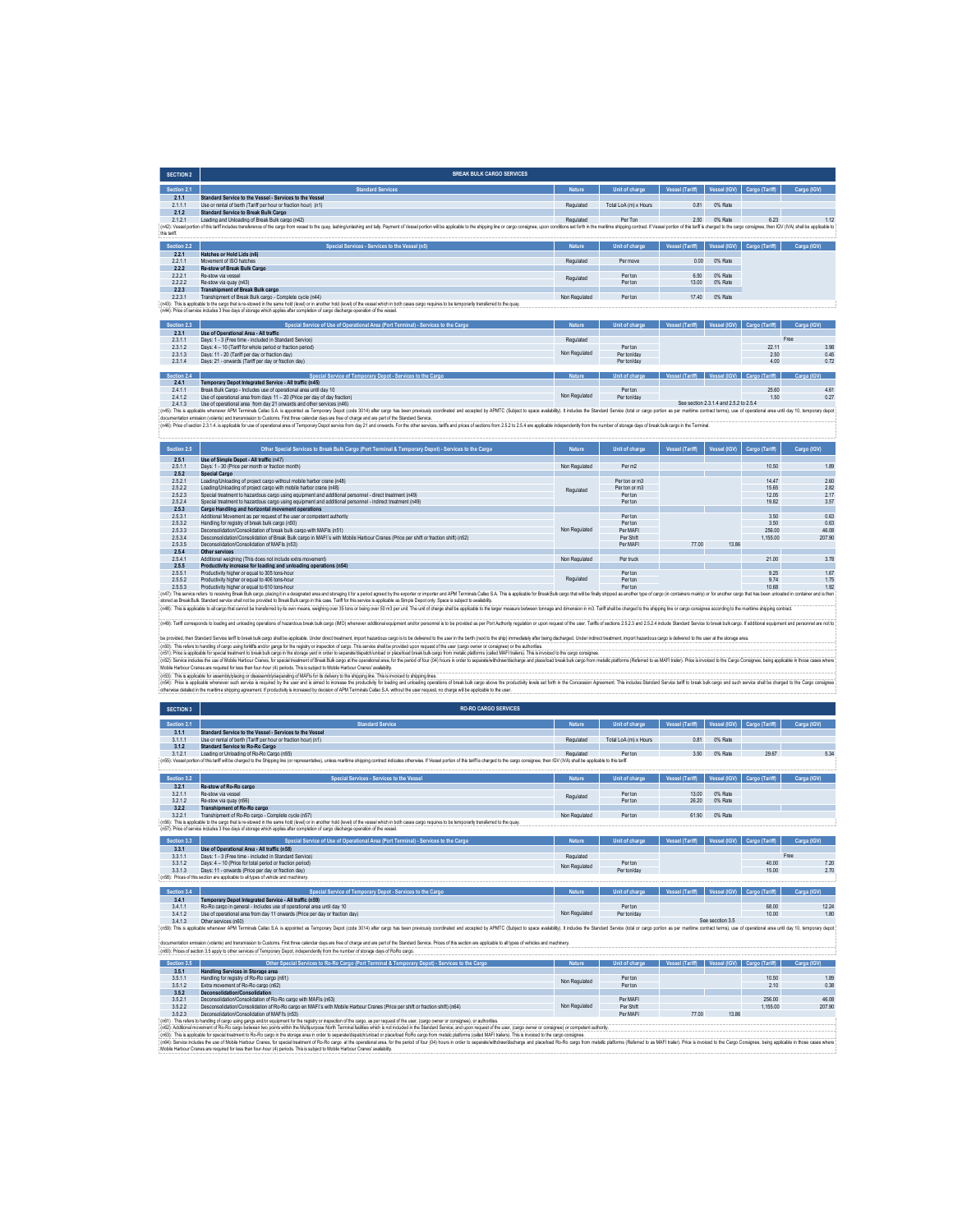| <b>SECTION 2</b> | <b>BREAK BULK CARGO SERVICES</b>                                                                                                                                                                                                                                                                                                               |               |                       |                 |              |                |             |
|------------------|------------------------------------------------------------------------------------------------------------------------------------------------------------------------------------------------------------------------------------------------------------------------------------------------------------------------------------------------|---------------|-----------------------|-----------------|--------------|----------------|-------------|
| Section 2.1      | <b>Standard Services</b>                                                                                                                                                                                                                                                                                                                       | <b>Nature</b> | Unit of charge        | Vessel (Tariff) | Vessel (IGV) | Cargo (Tariff) | Cargo (IGV) |
| 2.1.1            | Standard Service to the Vessel - Services to the Vessel                                                                                                                                                                                                                                                                                        |               |                       |                 |              |                |             |
| 2.1.1.1          | Use or rental of berth (Tariff per hour or fraction hour) (n1)                                                                                                                                                                                                                                                                                 | Regulated     | Total LoA (m) x Hours | 0.81            | 0% Rate      |                |             |
| 2.1.2            | <b>Standard Service to Break Bulk Cargo</b>                                                                                                                                                                                                                                                                                                    |               |                       |                 |              |                |             |
| 2121             | Loading and Unloading of Break Bulk cargo (n42)                                                                                                                                                                                                                                                                                                | Regulated     | Per Ton               | 2.50            | 0% Rate      | 6.23           | 1 1 2       |
|                  | (n42): Vessel portion of this tariff includes transference of the caroo from vessel to the quay, lashing/unlashing and tally. Payment of Vessel portion will be apploable to the shipping line or caroo consignee, upon condit                                                                                                                 |               |                       |                 |              |                |             |
| this tariff.     |                                                                                                                                                                                                                                                                                                                                                |               |                       |                 |              |                |             |
|                  |                                                                                                                                                                                                                                                                                                                                                |               |                       |                 |              |                |             |
| Section 2.2      | Special Services - Services to the Vessel (n5)                                                                                                                                                                                                                                                                                                 | Nature        | Unit of charge        | Vessel (Tariff) | Vessel (IGV) | Cargo (Tariff) | Carga (IGV) |
| 2.2.1            | Hatches or Hold Lids (n6)                                                                                                                                                                                                                                                                                                                      |               |                       |                 |              |                |             |
| 2.2.1.1          | Movement of ISO hatches.                                                                                                                                                                                                                                                                                                                       | Regulated     | Per move              | 0.00            | 0% Rate      |                |             |
| 222              | Re-stow of Break Bulk Cargo                                                                                                                                                                                                                                                                                                                    |               |                       |                 |              |                |             |
| 2.2.2.1          | Re-stow via vessel                                                                                                                                                                                                                                                                                                                             |               | Per ton               | 6.50            | 0% Rate      |                |             |
| 2.2.2.2          | Re-stow via quay (n43)                                                                                                                                                                                                                                                                                                                         | Regulated     | Per ton               | 13.00           | 0% Rate      |                |             |
| 2.2.3            | <b>Transhipment of Break Bulk cargo</b>                                                                                                                                                                                                                                                                                                        |               |                       |                 |              |                |             |
| 2.2.3.1          | Transhipment of Break Bulk cargo - Complete cycle (n44)                                                                                                                                                                                                                                                                                        | Non Regulated | Per ton               | 17.40           | 0% Rate      |                |             |
|                  | (n43); This is applicable to the cargo that is re-stowed in the same hold (level) or in another hold (level) of the vessel which in both cases cargo requires to be temporarily transferred to the quay.<br>(n44): Price of service includes 3 free days of storage which applies after completion of cargo discharge operation of the yessel. |               |                       |                 |              |                |             |

| Section 2.3 | Special Service of Use of Operational Area (Port Terminal) - Services to the Cargo | <b>Nature</b> | Unit of charge | Vessel (Tariff) | Vessel (IGV)                           | Cargo (Tariff) | Carga (IGV) |
|-------------|------------------------------------------------------------------------------------|---------------|----------------|-----------------|----------------------------------------|----------------|-------------|
| 2.3.1       | Use of Operational Area - All traffic                                              |               |                |                 |                                        |                |             |
| 2.3.1.1     | Days: 1 - 3 (Free time - included in Standard Service)                             | Regulated     |                |                 |                                        |                | Free        |
| 2.3.1.2     | Days: 4 - 10 (Tariff for whole period or fraction period)                          |               | Per ton        |                 |                                        | 22.11          | 3.98        |
| 2.3.1.3     | Days: 11 - 20 (Tariff per day or fraction day)                                     | Non Regulated | Per ton/day    |                 |                                        | 2.50           | 0.45        |
| 2.3.1.4     | Days: 21 - onwards (Tariff per day or fraction day)                                |               | Per ton/day    |                 |                                        | 4.00           | 0.72        |
|             |                                                                                    |               |                |                 |                                        |                |             |
| Section 2.4 | Special Service of Temporary Depot - Services to the Cargo                         | <b>Nature</b> | Unit of charge | Vessel (Tariff) | Vessel (IGV)                           | Cargo (Tariff) | Carga (IGV) |
| 2.4.1       | Temporary Depot Integrated Service - All traffic (n45)                             |               |                |                 |                                        |                |             |
| 2.4.1.1     | Break Bulk Cargo - Includes use of operational area until day 10                   |               | Perton         |                 |                                        | 25.60          | 461         |
| 2.4.1.2     | Use of operational area from days 11 - 20 (Price per day of day fraction)          | Non Regulated | Per ton/day    |                 |                                        | 1.50           | 0.27        |
| 2.4.1.3     | Use of operational area from day 21 onwards and other services (n46)               |               |                |                 | See section 2.3.1.4 and 2.5.2 to 2.5.4 |                |             |

(n46): Price of section 2.3.1.4. is applicable for use of operational area of Temporary Depot service from day 21 and onwards. For the other services, tariffs and prices of sections from 2.5.2 to 2.5.4 are applicable indep 2.4.1.3 Use of operational area from day 21 omends and other senices (n46)<br>(n45): This applicable area new AM Immunity Deptend and Engine and Deptend on Schen provide and accepted by Co<br>documeration emasion (value) and tra

| Section 2.5 | Other Special Services to Break Bulk Cargo (Port Terminal & Temporary Depot) - Services to the Cargo                                                                                                                           | Nature        | Unit of charge | Vessel (Tariff) | Vessel (IGV) | Cargo (Tariff) | Cargo (IGV) |  |
|-------------|--------------------------------------------------------------------------------------------------------------------------------------------------------------------------------------------------------------------------------|---------------|----------------|-----------------|--------------|----------------|-------------|--|
| 2.5.1       | Use of Simple Depot - All traffic (n47)                                                                                                                                                                                        |               |                |                 |              |                |             |  |
| 2511        | Days: 1 - 30 (Price per month or fraction month).                                                                                                                                                                              | Non Regulated | Per m2         |                 |              | 10.50          | 1.89        |  |
| 2.5.2       | <b>Special Cargo</b>                                                                                                                                                                                                           |               |                |                 |              |                |             |  |
| 2.5.2.1     | Loading/Unloading of project cargo without mobile harbor crane (n48)                                                                                                                                                           |               | Per ton or m3  |                 |              | 14 47          | 2.60        |  |
| 2.5.2.2     | Loading/Unloading of project cargo with mobile harbor crane (n48)                                                                                                                                                              | Regulated     | Per ton or m3  |                 |              | 15.65          | 2.82        |  |
| 2.5.2.3     | Special treatment to hazardous cargo using equipment and additional personnel - direct treatment (n49)                                                                                                                         |               | Per ton        |                 |              | 12.05          | 2.17        |  |
| 2.5.2.4     | Special treatment to hazardous cargo using equipment and additional personnel - indirect treatment (n49)                                                                                                                       |               | Per ton        |                 |              | 19.82          | 3.57        |  |
| 2.5.3       | Cargo Handling and horizontal movement operations                                                                                                                                                                              |               |                |                 |              |                |             |  |
| 2.5.3.1     | Additional Movement as per request of the user or competent authority                                                                                                                                                          |               | Per ton        |                 |              | 3.50           | 0.63        |  |
| 2.5.3.2     | Handling for registry of break bulk cargo (n50)                                                                                                                                                                                |               | Per ton        |                 |              | 3.50           | 0.63        |  |
| 2.5.3.3     | Deconsolidation/Consolidation of break bulk cargo with MAFIs (n51)                                                                                                                                                             | Non Regulated | Per MAFI       |                 |              | 256.00         | 46.08       |  |
| 2.5.3.4     | Desconsolidation/Consolidation of Break Bulk cargo in MAFI's with Mobile Harbour Cranes (Price per shift or fraction shift) (n52)                                                                                              |               | Per Shift      |                 |              | 1.155.00       | 207.90      |  |
| 2.5.3.5     | Deconsolidation/Consolidation of MAFIs (n53)                                                                                                                                                                                   |               | Per MAFI       | 77.00           | 13.86        |                |             |  |
| 2.5.4       | Other services                                                                                                                                                                                                                 |               |                |                 |              |                |             |  |
| 2.5.4.1     | Additional weighing (This does not include extra movement)                                                                                                                                                                     | Non Regulated | Per truck      |                 |              | 21.00          | 3.78        |  |
| 2.5.5       | Productivity increase for loading and unloading operations (n54)                                                                                                                                                               |               |                |                 |              |                |             |  |
| 2.5.5.1     | Productivity higher or equal to 305 tons-hour                                                                                                                                                                                  |               | Per ton        |                 |              | 9 25           | 1.67        |  |
| 2.5.5.2     | Productivity higher or equal to 406 tons-hour                                                                                                                                                                                  | Regulated     | Perton         |                 |              | 974            | 1.75        |  |
| 2.5.5.3     | Productivity higher or equal to 610 tons-hour                                                                                                                                                                                  |               | Perton         |                 |              | 10.68          | 1.92        |  |
|             | (n47): This service refers to receiving Break Bulk cargo, placing it in a designated area and storaging it for a period agreed by the exporter or importer and APM Terminals Callao S.A. This is applicable for Break Bulk car |               |                |                 |              |                |             |  |
|             | stored as Break Bulk. Standard service shall not be provided to Break Bulk cargo in this case. Tariff for this service is applicable as Simple Depot only. Space is subject to availability.                                   |               |                |                 |              |                |             |  |
|             | (n48): This is applicable to all cargo that cannot be transferred by its own means, weighing over 35 tons or being over 50 m3 per unit. The unit of charge shall be applicable to the larger measure between tonnage and dimen |               |                |                 |              |                |             |  |

(e49): Taff corresponds to bading and unlasting operations of hazardous break built cargo (IMC) whenever additional equipment and/or personnel is to be provided as per Port Authority regulation or upon request of the user.

be provided the Studient worker and to be ablu any state. We are the discussion of the Microsofter and the metally and the the the the the the the the the metally all the proposed the controlled the metally all the control

| <b>SECTION 3</b> | <b>RO-RO CARGO SERVICES</b>                                                                                                                                                                                                    |               |                       |                        |              |                |             |
|------------------|--------------------------------------------------------------------------------------------------------------------------------------------------------------------------------------------------------------------------------|---------------|-----------------------|------------------------|--------------|----------------|-------------|
| Section 3.1      | <b>Standard Service</b>                                                                                                                                                                                                        | Nature        | Unit of charge        | <b>Vessel (Tariff)</b> | Vessel (IGV) | Cargo (Tariff) | Carga (IGV) |
| 3.1.1            | Standard Service to the Vessel - Services to the Vessel                                                                                                                                                                        |               |                       |                        |              |                |             |
| 3.1.1.1          | Use or rental of berth (Tariff per hour or fraction hour) (n1)                                                                                                                                                                 | Regulated     | Total LoA (m) x Hours | 0.81                   | 0% Rate      |                |             |
| 3.1.2            | <b>Standard Service to Ro-Ro Cargo</b>                                                                                                                                                                                         |               |                       |                        |              |                |             |
| 3.1.2.1          | Loading or Unloading of Ro-Ro Cargo (n55)                                                                                                                                                                                      | Regulated     | Per ton               | 3.50                   | 0% Rate      | 29.67          | 5.34        |
|                  | (n55): Vessel portion of this tariff will be charged to the Shipping line (or representative), unless maritime shipping contract indicates otherwise. If Vessel portion of this tariff is charged to the cargo consignee, then |               |                       |                        |              |                |             |
|                  |                                                                                                                                                                                                                                |               |                       |                        |              |                |             |
| Section 3.2      | Special Services - Services to the Vessel                                                                                                                                                                                      | Nature        | Unit of charge        | <b>Vessel (Tariff)</b> | Vessel (IGV) | Cargo (Tariff) | Carga (IGV) |
| 3.2.1            | Re-stow of Ro-Ro cargo                                                                                                                                                                                                         |               |                       |                        |              |                |             |
| 3.2.1.1          | Re-stow via vessel                                                                                                                                                                                                             | Regulated     | Perton                | 13.00                  | 0% Rate      |                |             |
| 3.2.1.2          | Re-stow via quay (n56)                                                                                                                                                                                                         |               | Per ton               | 26.20                  | 0% Rate      |                |             |
| 3.2.2            | Transhipment of Ro-Ro cargo                                                                                                                                                                                                    |               |                       |                        |              |                |             |
| 3221             | Transhipment of Ro-Ro cargo - Complete cycle (n57)                                                                                                                                                                             | Non Regulated | Per ton               | 61.90                  | 0% Rate      |                |             |
|                  | (n56): This is applicable to the cargo that is re-stowed in the same hold (level) or in another hold (level) of the vessel which in both cases cargo requires to be temporarily transferred to the quay.                       |               |                       |                        |              |                |             |
|                  | (n57): Price of service includes 3 free days of storage which applies after completion of cargo discharge operation of the vessel.                                                                                             |               |                       |                        |              |                |             |
| Section 3.3      | Special Service of Use of Operational Area (Port Terminal) - Services to the Cargo                                                                                                                                             | Nature        | Unit of charge        | Vessel (Tariff)        | Vessel (IGV) | Cargo (Tariff) | Carga (IGV) |
| 3.3.1            | Use of Operational Area - All traffic (n58)                                                                                                                                                                                    |               |                       |                        |              |                |             |
| 3.3.1.1          | Days: 1 - 3 (Free time - included in Standard Service)                                                                                                                                                                         | Regulated     |                       |                        |              |                | Free        |
| 3.3.1.2          | Days: 4 - 10 (Price for total period or fraction period)                                                                                                                                                                       | Non Regulated | Per ton               |                        |              | 40.00          | 7.20        |
| 3.3.1.3          | Days: 11 - onwards (Price per day or fraction day)                                                                                                                                                                             |               | Per ton/day           |                        |              | 15.00          | 2.70        |
|                  | (n58): Prices of this section are applicable to all types of vehicle and machinery.                                                                                                                                            |               |                       |                        |              |                |             |
|                  |                                                                                                                                                                                                                                |               |                       |                        |              |                |             |

| Section 3.4 | Special Service of Temporary Depot - Services to the Cargo                                                                                                                                                                     | <b>Nature</b> | Unit of charge | Vessel (Tariff)   Vessel (IGV)   Cargo (Tariff) |                  |       | Carga (IGV) |  |
|-------------|--------------------------------------------------------------------------------------------------------------------------------------------------------------------------------------------------------------------------------|---------------|----------------|-------------------------------------------------|------------------|-------|-------------|--|
| 3.4.1       | Temporary Depot Integrated Service - All traffic (n59)                                                                                                                                                                         |               |                |                                                 |                  |       |             |  |
| 3.4.1.1     | Ro-Ro cargo in general - Includes use of operational area until day 10                                                                                                                                                         |               | Per ton        |                                                 |                  | 68.00 | 12.24       |  |
| 3412        | Lise of operational area from day 11 onwards (Price per day or fraction day)                                                                                                                                                   | Non Regulated | Per ton/day    |                                                 |                  | 10.00 | 1.80        |  |
| 3413        | Other services (n60)                                                                                                                                                                                                           |               |                |                                                 | See secction 3.5 |       |             |  |
|             | (n59): This is applicable whenever APM Terminals Calao S.A. is appointed as Termorary Depot (code 3014) after cargo has been previously coordinated and accepted by APMTC (Subject to space ayalability). It includes the Stan |               |                |                                                 |                  |       |             |  |

documentation emission (volante) and transmission to Customs. First three calendar days are free of charge and are part of the Standard Service. Prices of this section are applicable to all types of vehicles and machinery.

| Section 3.5 | Other Special Services to Ro-Ro Cargo (Port Terminal & Temporary Depot) - Services to the Cargo                              | <b>Nature</b> | Unit of charge | Vessel (Tariff) |       | Vessel (IGV) Cargo (Tariff) | Carga (IGV) |
|-------------|------------------------------------------------------------------------------------------------------------------------------|---------------|----------------|-----------------|-------|-----------------------------|-------------|
| 3.5.1       | Handling Services in Storage area                                                                                            |               |                |                 |       |                             |             |
| 3.5.1.1     | Handling for registry of Ro-Ro cargo (n61)                                                                                   | Non Regulated | Per ton        |                 |       | 10.50                       | 1.89        |
| 3.5.1.2     | Extra movement of Ro-Ro cargo (n62)                                                                                          |               | Per ton        |                 |       | 210                         | 0.38        |
| 3.5.2       | Deconsolidation/Consolidation                                                                                                |               |                |                 |       |                             |             |
| 3.5.2.1     | Deconsolidation/Consolidation of Ro-Ro cargo with MAFIs (n63)                                                                |               | Per MAFI       |                 |       | 256.00                      | 46.08       |
| 3.5.2.2     | Desconsolidation/Consolidation of Ro-Ro cargo en MAFI's with Mobile Harbour Cranes (Price per shift or fraction shift) (n64) | Non Regulated | Per Shift      |                 |       | 1 155 00                    | 207.90      |
| 3.5.2.3     | Deconsolidation/Consolidation of MAFI's (n53)                                                                                |               | Per MAFI       | 77.00           | 13.86 |                             |             |

3.5.23 Deconsolidation/orbedistion of MAFind3<br>(if3). This refers banding drag using outline paying the registy origed on the cargo, as per request of the use, (cargo owner consigne), or autories.<br>(if3). This applate to gea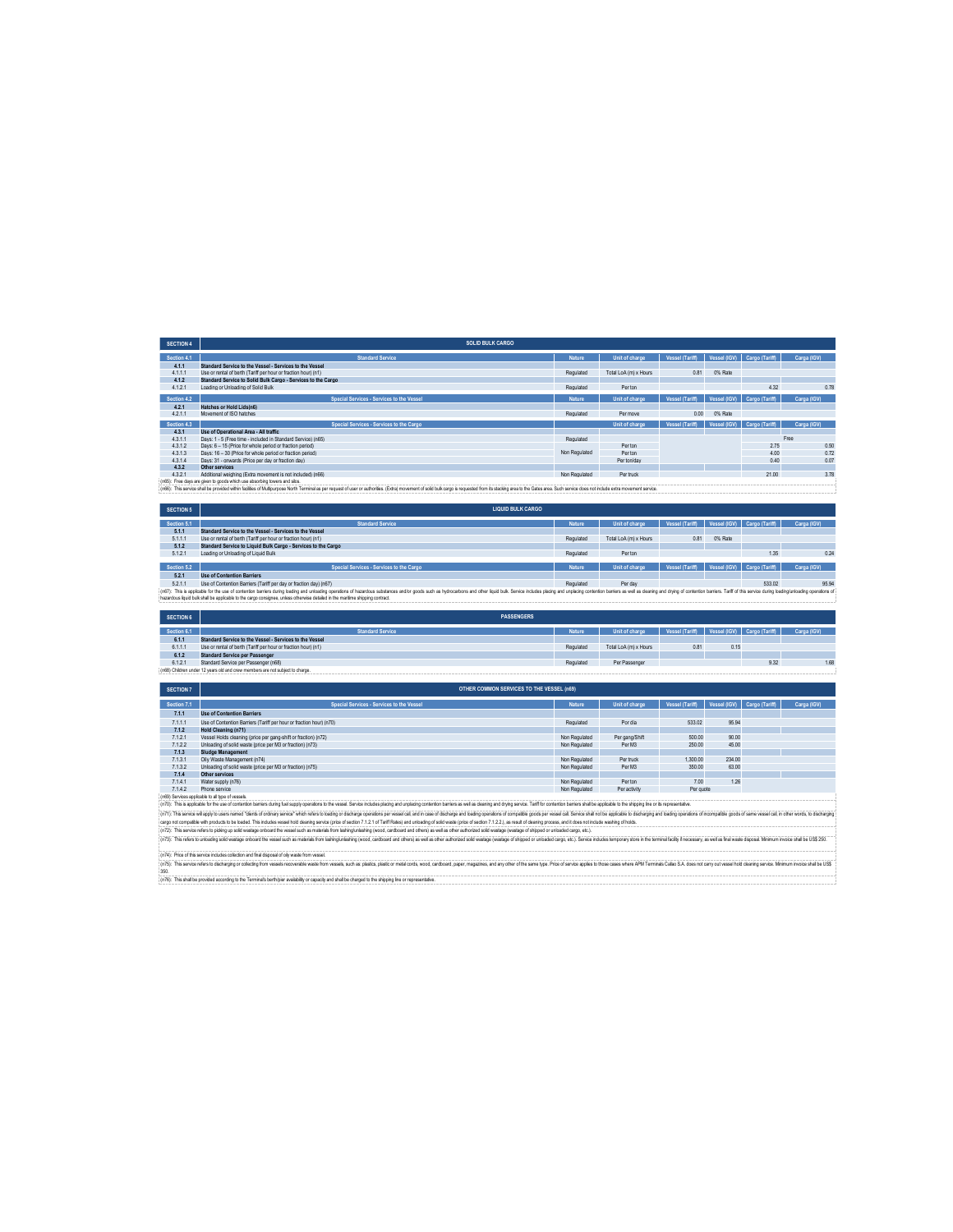| <b>SECTION 4</b> | <b>SOLID BULK CARGO</b>                                                                                                                                                                                                        |               |                       |                 |              |                             |             |
|------------------|--------------------------------------------------------------------------------------------------------------------------------------------------------------------------------------------------------------------------------|---------------|-----------------------|-----------------|--------------|-----------------------------|-------------|
| Section 4.1      | <b>Standard Service</b>                                                                                                                                                                                                        | <b>Nature</b> | Unit of charge        | Vessel (Tariff) | Vessel (IGV) | Cargo (Tariff)              | Carga (IGV) |
| 4.1.1            | Standard Service to the Vessel - Services to the Vessel                                                                                                                                                                        |               |                       |                 |              |                             |             |
| 4.1.1.1          | Use or rental of berth (Tariff per hour or fraction hour) (n1)                                                                                                                                                                 | Regulated     | Total LoA (m) x Hours | 0.81            | 0% Rate      |                             |             |
| 4.1.2            | Standard Service to Solid Bulk Cargo - Services to the Cargo                                                                                                                                                                   |               |                       |                 |              |                             |             |
| 4.1.2.1          | Loading or Unloading of Solid Bulk                                                                                                                                                                                             | Regulated     | Per ton               |                 |              | 4.32                        | 0.78        |
| Section 4.2      | Special Services - Services to the Vessel                                                                                                                                                                                      | <b>Nature</b> | Unit of charge        | Vessel (Tariff) | Vessel (IGV) | Cargo (Tariff)              | Carga (IGV) |
| 4.2.1            | Hatches or Hold Lids(n6)                                                                                                                                                                                                       |               |                       |                 |              |                             |             |
| 4.2.1.1          | Movement of ISO hatches                                                                                                                                                                                                        | Regulated     | Per move              | 0.00            | 0% Rate      |                             |             |
| Section 4.3      | Special Services - Services to the Cargo                                                                                                                                                                                       |               | Unit of charge        | Vessel (Tariff) |              | Vessel (IGV) Cargo (Tariff) | Carga (IGV) |
| 4.3.1            | Use of Operational Area - All traffic                                                                                                                                                                                          |               |                       |                 |              |                             |             |
| 4.3.1.1          | Days: 1 - 5 (Free time - included in Standard Service) (n65)                                                                                                                                                                   | Regulated     |                       |                 |              |                             | Free        |
| 4.3.1.2          | Days: 6 - 15 (Price for whole period or fraction period)                                                                                                                                                                       |               | Per ton               |                 |              | 2.75                        | 0.50        |
| 4.3.1.3          | Days: 16 - 30 (Price for whole period or fraction period).                                                                                                                                                                     | Non Regulated | Per ton               |                 |              | 4.00                        | 0.72        |
| 4.3.1.4          | Days: 31 - onwards (Price per day or fraction day)                                                                                                                                                                             |               | Per ton/day           |                 |              | 0.40                        | 0.07        |
| 432              | Other services                                                                                                                                                                                                                 |               |                       |                 |              |                             |             |
| 4.3.2.1          | Additional weighing (Extra movement is not included) (n66)                                                                                                                                                                     | Non Regulated | Per truck             |                 |              | 21.00                       | 3.78        |
|                  | (n65): Free days are given to goods which use absorbing towers and silos.                                                                                                                                                      |               |                       |                 |              |                             |             |
|                  | (n66): This service shall be provided within facilities of Multipurpose North Terminal as per request of user or authorities. (Extra) movement of solid bulk cargo is requested from its stacking area to the Gates area. Such |               |                       |                 |              |                             |             |

| <b>SECTION 5</b>                                                                                                                                                                                                               | <b>LIQUID BULK CARGO</b>                                          |           |                       |                 |         |                             |             |
|--------------------------------------------------------------------------------------------------------------------------------------------------------------------------------------------------------------------------------|-------------------------------------------------------------------|-----------|-----------------------|-----------------|---------|-----------------------------|-------------|
| Section 5.1                                                                                                                                                                                                                    | <b>Standard Service</b>                                           | Nature    | Unit of charge        | Vessel (Tariff) |         | Vessel (IGV) Cargo (Tariff) | Carga (IGV) |
| 5.1.1                                                                                                                                                                                                                          | Standard Service to the Vessel - Services to the Vessel           |           |                       |                 |         |                             |             |
| 5.1.1.1                                                                                                                                                                                                                        | Use or rental of berth (Tariff per hour or fraction hour) (n1)    | Regulated | Total LoA (m) x Hours | 0.81            | 0% Rate |                             |             |
| 5.1.2                                                                                                                                                                                                                          | Standard Service to Liquid Bulk Cargo - Services to the Cargo     |           |                       |                 |         |                             |             |
| 5.1.2.1                                                                                                                                                                                                                        | Loading or Unloading of Liquid Bulk                               | Regulated | Perton                |                 |         | 1.35                        | 0.24        |
|                                                                                                                                                                                                                                |                                                                   |           |                       |                 |         |                             |             |
| Section 5.2                                                                                                                                                                                                                    | Special Services - Services to the Cargo                          | Nature    | Unit of charge        | Vessel (Tariff) |         | Vessel (IGV) Cargo (Tariff) | Carga (IGV) |
| 5.2.1                                                                                                                                                                                                                          | Use of Contention Barriers                                        |           |                       |                 |         |                             |             |
| 5.2.1.1                                                                                                                                                                                                                        | Use of Contention Barriers (Tariff per day or fraction day) (n67) | Regulated | Per day               |                 |         | 533.02                      | 95.94       |
| : (n67): This is apolicable for the use of contention barriers during loading and unbading operations of hazardous substances and/or goods such as hydrocarbons and other louid buk. Service includes placing and unglacing co |                                                                   |           |                       |                 |         |                             |             |
| hazardous louid bulk shall be applicable to the cargo consignee, unless otherwise detailed in the maritime shipping contract.                                                                                                  |                                                                   |           |                       |                 |         |                             |             |

| <b>SECTION 6</b> | <b>PASSENGERS</b>                                                             |               |                       |                                             |      |      |             |
|------------------|-------------------------------------------------------------------------------|---------------|-----------------------|---------------------------------------------|------|------|-------------|
| Section 6.1      | <b>Standard Service</b>                                                       | <b>Nature</b> | Unit of charge        | Vessel (Tariff) Vessel (IGV) Cargo (Tariff) |      |      | Carga (IGV) |
|                  |                                                                               |               |                       |                                             |      |      |             |
| 6.1.1            | Standard Service to the Vessel - Services to the Vessel                       |               |                       |                                             |      |      |             |
| 6.1.1.           | Use or rental of berth (Tariff per hour or fraction hour) (n1)                | Regulated     | Total LoA (m) x Hours | 0.81                                        | 0.15 |      |             |
| 6.1.2            | Standard Service per Passenger                                                |               |                       |                                             |      |      |             |
| 6.1.2.1          | Standard Service per Passenger (n68)                                          | Regulated     | Per Passenger         |                                             |      | 9.32 | 1.68        |
|                  | (n68) Children under 12 years old and crew members are not subject to charge. |               |                       |                                             |      |      |             |

| <b>SECTION 7</b> | OTHER COMMON SERVICES TO THE VESSEL (n69)                           |               |                |                 |                             |  |             |
|------------------|---------------------------------------------------------------------|---------------|----------------|-----------------|-----------------------------|--|-------------|
| Section 7.1      | Special Services - Services to the Vessel                           | <b>Nature</b> | Unit of charge | Vessel (Tariff) | Vessel (IGV) Cargo (Tariff) |  | Carga (IGV) |
| 7.1.1            | <b>Use of Contention Barriers</b>                                   |               |                |                 |                             |  |             |
| 7.1.1.1          | Use of Contention Barriers (Tariff per hour or fraction hour) (n70) | Regulated     | Por dia        | 533.02          | 95.94                       |  |             |
| 7.1.2            | Hold Cleaning (n71)                                                 |               |                |                 |                             |  |             |
| 7.1.2.1          | Vessel Holds cleaning (price per gang-shift or fraction) (n72)      | Non Regulated | Per gang/Shift | 500.00          | 90.00                       |  |             |
| 7.1.2.2          | Unloading of solid waste (price per M3 or fraction) (n73)           | Non Regulated | Per M3         | 250.00          | 45.00                       |  |             |
| 7.1.3            | Sludge Management                                                   |               |                |                 |                             |  |             |
| 7.1.3.1          | Oily Waste Management (n74)                                         | Non Regulated | Per truck      | 1.300.00        | 234.00                      |  |             |
| 7.1.3.2          | Unloading of solid waste (price per M3 or fraction) (n75)           | Non Regulated | Per M3         | 350.00          | 63.00                       |  |             |
| 7.1.4            | Other services                                                      |               |                |                 |                             |  |             |
| 7.1.4.1          | Water supply (n76)                                                  | Non Regulated | Per ton        | 7.00            | 1.26                        |  |             |
| 7.1.4.2          | Phone service                                                       | Non Regulated | Per activity   | Per quote       |                             |  |             |
|                  | (aCO) Consigne gradiately to all tupo of vecessing                  |               |                |                 |                             |  |             |

7.1.42 Per applies the subsect of the subsect of the subsection of the subsection of the subsection of the subsection of the subsection of the subsection of the subsection of the subsection of the subsection of the subsect

(n7). The shits enfers holder other and the disputed only wall to the show wall.<br>(n7): This enfers related behavior control to the state of the state wall be shown that and and the state wall and the state of the state of